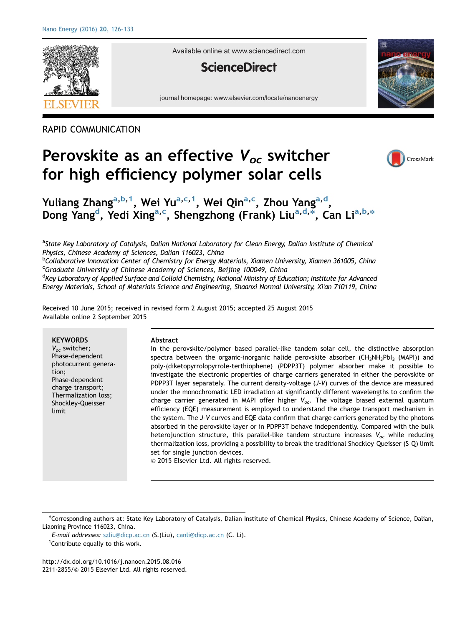

Available online at www.sciencedirect.com

### **ScienceDirect**

journal homepage: www.elsevier.com/locate/nanoenergy

RAPID COMMUNICATION

# Perovskite as an effective  $V_{oc}$  switcher for high efficiency polymer solar cells



## Yuliang Zhang<sup>a,b,1</sup>, Wei Yu<sup>a,c,1</sup>, Wei Qin<sup>a,c</sup>, Zhou Yang<sup>a,d</sup>, Dong Yang<sup>d</sup>, Yedi Xing<sup>a,c</sup>, Shengzhong (Frank) Liu<sup>a,d,\*</sup>, Can Li<sup>a,b,\*</sup>

<sup>a</sup>State Key Laboratory of Catalysis, Dalian National Laboratory for Clean Energy, Dalian Institute of Chemical Physics, Chinese Academy of Sciences, Dalian 116023, China <sup>b</sup>

<sup>b</sup>Collaborative Innovation Center of Chemistry for Energy Materials, Xiamen University, Xiamen 361005, China Graduate University of Chinese Academy of Sciences, Beijing 100049, China

<sup>d</sup>Key Laboratory of Applied Surface and Colloid Chemistry, National Ministry of Education; Institute for Advanced Energy Materials, School of Materials Science and Engineering, Shaanxi Normal University, Xi'an 710119, China

Received 10 June 2015; received in revised form 2 August 2015; accepted 25 August 2015 Available online 2 September 2015

**KEYWORDS** 

 $V_{oc}$  switcher; Phase-dependent photocurrent generation; Phase-dependent charge transport; Thermalization loss; Shockley–Queisser limit

#### Abstract

In the perovskite/polymer based parallel-like tandem solar cell, the distinctive absorption spectra between the organic-inorganic halide perovskite absorber ( $CH_3NH_3PbI_3$  (MAPI)) and poly-(diketopyrrolopyrrole-terthiophene) (PDPP3T) polymer absorber make it possible to investigate the electronic properties of charge carriers generated in either the perovskite or PDPP3T layer separately. The current density–voltage (J–V) curves of the device are measured under the monochromatic LED irradiation at significantly different wavelengths to confirm the charge carrier generated in MAPI offer higher  $V_{oc}$ . The voltage biased external quantum efficiency (EQE) measurement is employed to understand the charge transport mechanism in the system. The J–V curves and EQE data confirm that charge carriers generated by the photons absorbed in the perovskite layer or in PDPP3T behave independently. Compared with the bulk heterojunction structure, this parallel-like tandem structure increases  $V_{oc}$  while reducing thermalization loss, providing a possibility to break the traditional Shockley–Queisser (S–Q) limit set for single junction devices.

 $©$  2015 Elsevier Ltd. All rights reserved.

n Corresponding authors at: State Key Laboratory of Catalysis, Dalian Institute of Chemical Physics, Chinese Academy of Science, Dalian, Liaoning Province 116023, China.

E-mail addresses: [szliu@dicp.ac.cn](mailto:szliu@dicp.ac.cn) (S.(Liu), [canli@dicp.ac.cn](mailto:canli@dicp.ac.cn) (C. Li). <sup>1</sup> Contribute equally to this work.

[http://dx.doi.org/10.1016/j.nanoen.2015.08.016](dx.doi.org/10.1016/j.nanoen.2015.08.016) 2211-2855/© [2015 Elsevier Ltd. All rights reserved.](dx.doi.org/10.1016/j.nanoen.2015.08.016)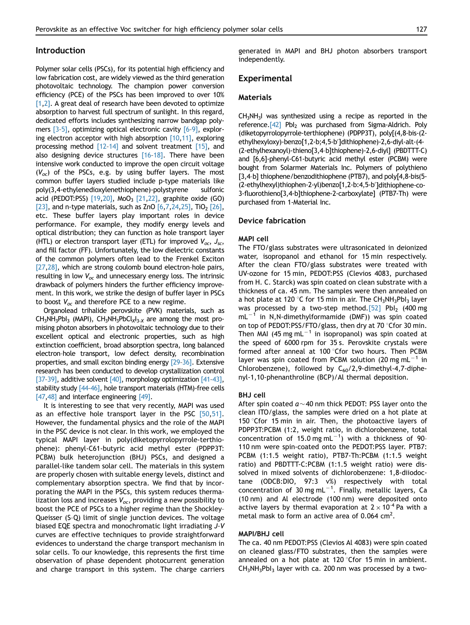### Introduction

Polymer solar cells (PSCs), for its potential high efficiency and low fabrication cost, are widely viewed as the third generation photovoltaic technology. The champion power conversion efficiency (PCE) of the PSCs has been improved to over 10%  $[1,2]$ . A great deal of research have been devoted to optimize absorption to harvest full spectrum of sunlight. In this regard, dedicated efforts includes synthesizing narrow bandgap polymers  $[3-5]$ , optimizing optical electronic cavity  $[6-9]$ , exploring electron acceptor with high absorption  $[10,11]$ , exploring processing method [12-14] and solvent treatment [15], and also designing device structures  $[16-18]$ . There have been intensive work conducted to improve the open circuit voltage  $(V_{\alpha c})$  of the PSCs, e.g. by using buffer layers. The most common buffer layers studied include p-type materials like poly(3,4-ethylenedioxylenethiophene)-polystyrene sulfonic acid (PEDOT:PSS) [19,20], MoO<sub>3</sub> [21,22], graphite oxide (GO) [23], and n-type materials, such as ZnO  $[6,7,24,25]$ , TiO<sub>2</sub> [26], etc. These buffer layers play important roles in device performance. For example, they modify energy levels and optical distribution; they can function as hole transport layer (HTL) or electron transport layer (ETL) for improved  $V_{\text{oc}}$ ,  $J_{\text{sc}}$ , and fill factor (FF). Unfortunately, the low dielectric constants of the common polymers often lead to the Frenkel Exciton [27,28], which are strong coulomb bound electron-hole pairs, resulting in low  $V_{oc}$  and unnecessary energy loss. The intrinsic drawback of polymers hinders the further efficiency improvement. In this work, we strike the design of buffer layer in PSCs to boost  $V_{oc}$  and therefore PCE to a new regime.

Organolead trihalide perovskite (PVK) materials, such as  $CH_3NH_3PbI_3$  (MAPI),  $CH_3NH_3PbCl_xI_{3-x}$  are among the most promising photon absorbers in photovoltaic technology due to their excellent optical and electronic properties, such as high extinction coefficient, broad absorption spectra, long balanced electron–hole transport, low defect density, recombination properties, and small exciton binding energy [29–36]. Extensive research has been conducted to develop crystallization control [37-39], additive solvent [40], morphology optimization [41-43], stability study [44–46], hole transport materials (HTM)-free cells [47,48] and interface engineering  $[49]$ .

It is interesting to see that very recently, MAPI was used as an effective hole transport layer in the PSC [50,51]. However, the fundamental physics and the role of the MAPI in the PSC device is not clear. In this work, we employed the typical MAPI layer in poly(diketopyrrolopyrrole-terthiophene): phenyl-C61-butyric acid methyl ester (PDPP3T: PCBM) bulk heterojunction (BHJ) PSCs, and designed a parallel-like tandem solar cell. The materials in this system are properly chosen with suitable energy levels, distinct and complementary absorption spectra. We find that by incorporating the MAPI in the PSCs, this system reduces thermalization loss and increases  $V_{oc}$ , providing a new possibility to boost the PCE of PSCs to a higher regime than the Shockley– Queisser (S–Q) limit of single junction devices. The voltage biased EQE spectra and monochromatic light irradiating J–V curves are effective techniques to provide straightforward evidences to understand the charge transport mechanism in solar cells. To our knowledge, this represents the first time observation of phase dependent photocurrent generation and charge transport in this system. The charge carriers generated in MAPI and BHJ photon absorbers transport independently.

### Experimental

#### Materials

 $CH<sub>3</sub>NH<sub>3</sub>$  was synthesized using a recipe as reported in the reference.<sup>[42]</sup> PbI<sub>2</sub> was purchased from Sigma-Aldrich. Poly (diketopyrrolopyrrole-terthiophene) (PDPP3T), poly[(4,8-bis-(2 ethylhexyloxy)-benzo[1,2-b;4,5-b']dithiophene)-2,6-diyl-alt-(4-(2-ethylhexanoyl)-thieno[3,4–b]thiophene)-2,6-diyl] (PBDTTT-C) and [6,6]-phenyl-C61-butyric acid methyl ester (PCBM) were bought from Solarmer Materials Inc. Polymers of polythieno [3,4-b] thiophene/benzodithiophene (PTB7), and poly[4,8-bis(5-(2-ethylhexyl)thiophen-2-yl)benzo[1,2-b:4,5-b']dithiophene-co-3-fluorothieno[3,4-b]thiophene-2-carboxylate] (PTB7-Th) were purchased from 1-Material Inc.

### Device fabrication

#### MAPI cell

The FTO/glass substrates were ultrasonicated in deionized water, isopropanol and ethanol for 15 min respectively. After the clean FTO/glass substrates were treated with UV-ozone for 15 min, PEDOT:PSS (Clevios 4083, purchased from H. C. Starck) was spin coated on clean substrate with a thickness of ca. 45 nm. The samples were then annealed on a hot plate at 120 °C for 15 min in air. The  $CH<sub>3</sub>NH<sub>3</sub>PbI<sub>3</sub>$  layer was processed by a two-step method. $[52]$  PbI<sub>2</sub> (400 mg) mL-<sup>1</sup> in N,N-dimethylformamide (DMF)) was spin coated on top of PEDOT:PSS/FTO/glass, then dry at 70  $\degree$ Cfor 30 min. Then MAI (45 mg mL $^{-1}$  in isopropanol) was spin coated at the speed of 6000 rpm for 35 s. Perovskite crystals were formed after anneal at 100 °Cfor two hours. Then PCBM layer was spin coated from PCBM solution (20 mg mL $^{-1}$  in Chlorobenzene), followed by  $C_{60}/2,9$ -dimethyl-4,7-diphenyl-1,10-phenanthroline (BCP)/Al thermal deposition.

#### BHJ cell

After spin coated  $a \sim 40$  nm thick PEDOT: PSS layer onto the clean ITO/glass, the samples were dried on a hot plate at 150 $\degree$ Cfor 15 min in air. Then, the photoactive layers of PDPP3T:PCBM (1:2, weight ratio, in dichlorobenzene, total concentration of 15.0 mg mL $^{-1}$ ) with a thickness of 90-110 nm were spin-coated onto the PEDOT:PSS layer. PTB7: PCBM (1:1.5 weight ratio), PTB7-Th:PCBM (1:1.5 weight ratio) and PBDTTT-C:PCBM (1:1.5 weight ratio) were dissolved in mixed solvents of dichlorobenzene: 1,8-diiodoctane (ODCB:DIO, 97:3 v%) respectively with total concentration of 30 mg mL $^{-1}$ . Finally, metallic layers, Ca (10 nm) and Al electrode (100 nm) were deposited onto active layers by thermal evaporation at  $2 \times 10^{-4}$  Pa with a metal mask to form an active area of  $0.064$  cm<sup>2</sup>.

#### MAPI/BHJ cell

The ca. 40 nm PEDOT:PSS (Clevios Al 4083) were spin coated on cleaned glass/FTO substrates, then the samples were annealed on a hot plate at 120  $\degree$ Cfor 15 min in ambient.  $CH<sub>3</sub>NH<sub>3</sub>Pbl<sub>3</sub>$  layer with ca. 200 nm was processed by a two-